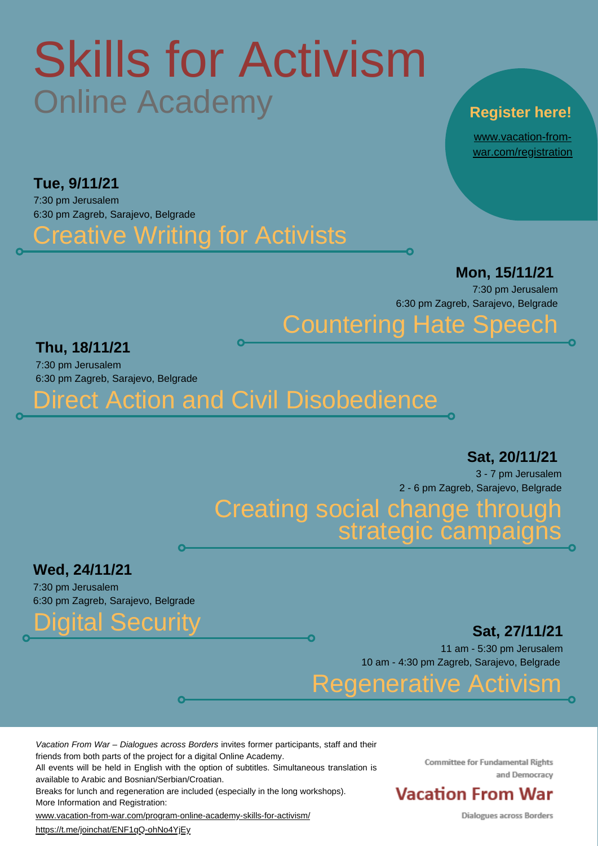### Creative Writing for Activists

#### **Thu, 18/11/21**

7:30 pm Jerusalem 6:30 pm Zagreb, Sarajevo, Belgrade

**Sat, 27/11/21**

#### Creating social change through strategic campaigns

11 am - 5:30 pm Jerusalem 10 am - 4:30 pm Zagreb, Sarajevo, Belgrade

Direct Action and Civil Disobedience

Digital Security

# Skills for Activism Online Academy

#### **Tue, 9/11/21**

7:30 pm Jerusalem 6:30 pm Zagreb, Sarajevo, Belgrade

Countering Hate Speech

**Mon, 15/11/21**

7:30 pm Jerusalem 6:30 pm Zagreb, Sarajevo, Belgrade

#### Regenerative Activism

#### **Register here!**

#### **Sat, 20/11/21**

3 - 7 pm Jerusalem 2 - 6 pm Zagreb, Sarajevo, Belgrade

#### **Wed, 24/11/21**

7:30 pm Jerusalem 6:30 pm Zagreb, Sarajevo, Belgrade

www.vacation-from[war.com/registration](http://www.vacation-from-war.com/registration)

*Vacation From War – Dialogues across Borders* invites former participants, staff and their

friends from both parts of the project for a digital Online Academy. All events will be held in English with the option of subtitles. Simultaneous translation is

available to Arabic and Bosnian/Serbian/Croatian.

Breaks for lunch and regeneration are included (especially in the long workshops). More Information and Registration:

[www.vacation-from-war.com/program-online-academy-skills-for-activism/](http://www.vacation-from-war.com/program-online-academy-skills-for-activism/)

https://t.me/joinchat/ENF1qQ-ohNo4YjEy

**Committee for Fundamental Rights** and Democracy

#### **Vacation From War**

**Dialogues across Borders**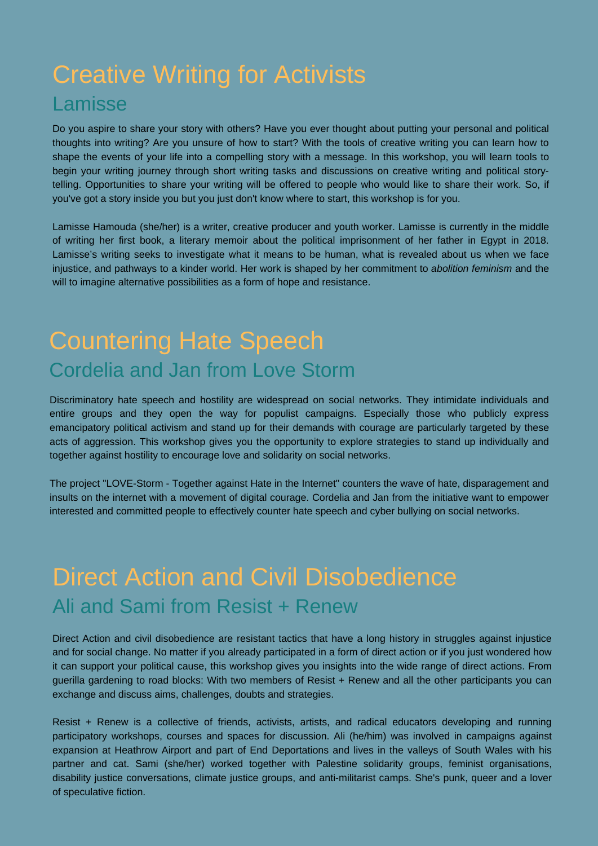### Creative Writing for Activists Lamisse

Do you aspire to share your story with others? Have you ever thought about putting your personal and political thoughts into writing? Are you unsure of how to start? With the tools of creative writing you can learn how to shape the events of your life into a compelling story with a message. In this workshop, you will learn tools to begin your writing journey through short writing tasks and discussions on creative writing and political storytelling. Opportunities to share your writing will be offered to people who would like to share their work. So, if you've got a story inside you but you just don't know where to start, this workshop is for you.

Lamisse Hamouda (she/her) is a writer, creative producer and youth worker. Lamisse is currently in the middle of writing her first book, a literary memoir about the political imprisonment of her father in Egypt in 2018. Lamisse's writing seeks to investigate what it means to be human, what is revealed about us when we face injustice, and pathways to a kinder world. Her work is shaped by her commitment to *abolition feminism* and the will to imagine alternative possibilities as a form of hope and resistance.

### Countering Hate Speech Cordelia and Jan from Love Storm

Discriminatory hate speech and hostility are widespread on social networks. They intimidate individuals and entire groups and they open the way for populist campaigns. Especially those who publicly express emancipatory political activism and stand up for their demands with courage are particularly targeted by these acts of aggression. This workshop gives you the opportunity to explore strategies to stand up individually and together against hostility to encourage love and solidarity on social networks.

The project "LOVE-Storm - Together against Hate in the Internet" counters the wave of hate, disparagement and insults on the internet with a movement of digital courage. Cordelia and Jan from the initiative want to empower interested and committed people to effectively counter hate speech and cyber bullying on social networks.

### Direct Action and Civil Disobedience Ali and Sami from Resist + Renew

Direct Action and civil disobedience are resistant tactics that have a long history in struggles against injustice and for social change. No matter if you already participated in a form of direct action or if you just wondered how it can support your political cause, this workshop gives you insights into the wide range of direct actions. From guerilla gardening to road blocks: With two members of Resist + Renew and all the other participants you can exchange and discuss aims, challenges, doubts and strategies.

Resist + Renew is a collective of friends, activists, artists, and radical educators developing and running participatory workshops, courses and spaces for discussion. Ali (he/him) was involved in campaigns against expansion at Heathrow Airport and part of End Deportations and lives in the valleys of South Wales with his partner and cat. Sami (she/her) worked together with Palestine solidarity groups, feminist organisations, disability justice conversations, climate justice groups, and anti-militarist camps. She's punk, queer and a lover of speculative fiction.